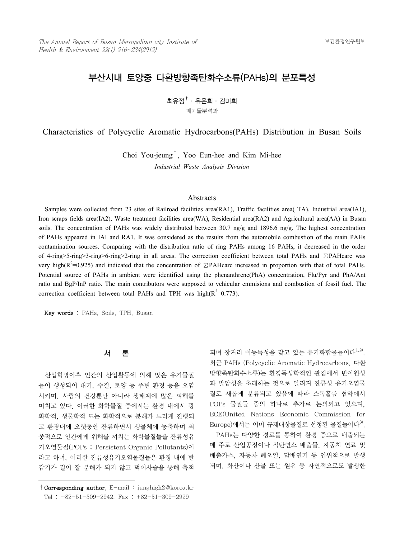# 부산시내 토양중 다환방향족탄화수소류(PAHs)의 분포특성

 $\overline{\mathbf{a}}$ 유정 $^\dagger$  · 유은희 · 김미희 폐기물분석과

Characteristics of Polycyclic Aromatic Hydrocarbons(PAHs) Distribution in Busan Soils

Choi You-jeung†, Yoo Eun-hee and Kim Mi-hee

*Industrial Waste Analysis Division*

#### Abstracts

 Samples were collected from 23 sites of Railroad facilities area(RA1), Traffic facilities area( TA), Industrial area(IA1), Iron scraps fields area(IA2), Waste treatment facilities area(WA), Residential area(RA2) and Agricultural area(AA) in Busan soils. The concentration of PAHs was widely distributed between 30.7 ng/g and 1896.6 ng/g. The highest concentration of PAHs appeared in IAI and RA1. It was considered as the results from the automobile combustion of the main PAHs contamination sources. Comparing with the distribution ratio of ring PAHs among 16 PAHs, it decreased in the order of 4-ring>5-ring>3-ring>6-ring>2-ring in all areas. The correction coefficient between total PAHs and ∑PAHcarc was very high( $R^2$ =0.925) and indicated that the concentration of ∑PAHcarc increased in proportion with that of total PAHs. Potential source of PAHs in ambient were identified using the phenanthrene(PhA) concentration, Flu/Pyr and PhA/Ant ratio and BgP/InP ratio. The main contributors were supposed to vehicular emmisions and combustion of fossil fuel. The correction coefficient between total PAHs and TPH was high( $R^2$ =0.773).

Key words : PAHs, Soils, TPH, Busan

#### 서 론

 산업혁명이후 인간의 산업활동에 의해 많은 유기물질 들이 생성되어 대기, 수질, 토양 등 주변 환경 등을 오염 시키며, 사람의 건강뿐만 아니라 생태계에 많은 피해를 미치고 있다. 이러한 화학물질 중에서는 환경 내에서 광 화학적, 생물학적 또는 화학적으로 분해가 느리게 진행되 고 환경내에 오랫동안 잔류하면서 생물체에 농축하며 최 종적으로 인간에게 위해를 끼치는 화학물질들을 잔류성유 기오염물질(POPs ; Persistent Organic Pollutants)이 라고 하며, 이러한 잔류성유기오염물질들은 환경 내에 반 감기가 길어 잘 분해가 되지 않고 먹이사슬을 통해 축적

되며 장거리 이동특성을 갖고 있는 유기화합물들이다<sup>1,2)</sup>. 최근 PAHs (Polycyclic Aromatic Hydrocarbons, 다환 방향족탄화수소류)는 환경독성학적인 관점에서 변이원성 과 발암성을 초래하는 것으로 알려져 잔류성 유기오염물 질로 새롭게 분류되고 있음에 따라 스톡홀름 협약에서 POPs 물질들 중의 하나로 추가로 논의되고 있으며, ECE(United Nations Economic Commission for  $\rm\,Europe)$ 에서는 이미 규제대상물질로 선정된 물질들이다 $^{30}$ .

 PAHs는 다양한 경로를 통하여 환경 중으로 배출되는 데 주로 산업공정이나 석탄연소 배출물, 자동차 연료 및 배출가스, 자동차 폐오일, 담배연기 등 인위적으로 발생 되며, 화산이나 산불 또는 원유 등 자연적으로도 발생한

<sup>†</sup>Corresponding author. E-mail : junghigh2@korea.kr Tel : +82-51-309-2942, Fax : +82-51-309-2929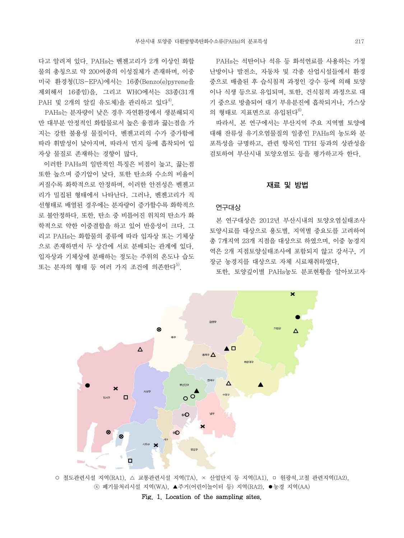다고 알려져 있다. PAHs는 벤젠고리가 2개 이상인 화합 물의 총칭으로 약 200여종의 이성질체가 존재하며, 이중 미국 환경청(US-EPA)에서는 16종(Benzo(e)pyrene을 제외해서 16종임)을, 그리고 WHO에서는 33종(31개  $PAH$  및 2개의 알킬 유도체)을 관리하고 있다<sup>4)</sup>.

 PAHs는 분자량이 낮은 경우 자연환경에서 생분해되지 만 대부분 안정적인 화합물로서 높은 융점과 끓는점을 가 지는 강한 불용성 물질이다. 벤젠고리의 수가 증가함에 따라 휘발성이 낮아지며, 따라서 먼지 등에 흡착되어 입 자상 물질로 존재하는 경향이 많다.

 이러한 PAHs의 일반적인 특징은 비점이 높고, 끓는점 또한 높으며 증기압이 낮다. 또한 탄소와 수소의 비율이 커질수록 화학적으로 안정하며, 이러한 안전성은 벤젠고 리가 밀집된 형태에서 나타난다. 그러나, 벤젠고리가 직 선형태로 배열된 경우에는 분자량이 증가할수록 화학적으 로 불안정하다. 또한, 탄소 중 비틀어진 위치의 탄소가 화 학적으로 약한 이중결합을 하고 있어 반응성이 크다. 그 리고 PAHs는 화합물의 종류에 따라 입자상 또는 기체상 으로 존재하면서 두 상간에 서로 분배되는 관계에 있다. 입자상과 기체상에 분배하는 정도는 주위의 온도나 습도 또는 분자의 형태 등 여러 가지 조건에 의존한다<sup>5)</sup>.

 PAHs는 석탄이나 석유 등 화석연료를 사용하는 가정 난방이나 발전소, 자동차 및 각종 산업시설들에서 환경 중으로 배출된 후 습식침적 과정인 강수 등에 의해 토양 이나 식생 등으로 유입되며, 또한, 건식침적 과정으로 대 기 중으로 방출되어 대기 부유분진에 흡착되거나, 가스상 의 형태로 지표면으로 유입된다 $^{6)}$ .

 따라서, 본 연구에서는 부산지역 주요 지역별 토양에 대해 잔류성 유기오염물질의 일종인 PAHs의 농도와 분 포특성을 규명하고, 관련 항목인 TPH 등과의 상관성을 검토하여 부산시내 토양오염도 등을 평가하고자 한다.

#### 재료 및 방법

#### 연구대상

 본 연구대상은 2012년 부산시내의 토양오염실태조사 토양시료를 대상으로 용도별, 지역별 중요도를 고려하여 총 7개지역 23개 지점을 대상으로 하였으며, 이중 농경지 역은 2개 지점토양실태조사에 포함되지 않고 강서구, 기 장군 농경지를 대상으로 자체 시료채취하였다.

또한, 토양깊이별 PAHs농도 분포현황을 알아보고자



○ 철도관련시설 지역(RA1), △ 교통관련시설 지역(TA), × 산업단지 등 지역(IA1), □ 원광석,고철 관련지역(IA2), ⓧ 폐기물처리시설 지역(WA), ▲주거(어린이놀이터 등) 지역(RA2), ●농경 지역(AA)

Fig. 1. Location of the sampling sites.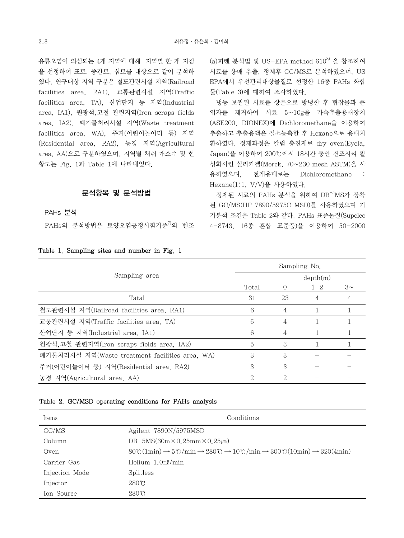유류오염이 의심되는 4개 지역에 대해 지역별 한 개 지점 을 선정하여 표토, 중간토, 심토를 대상으로 같이 분석하 였다. 연구대상 지역 구분은 철도관련시설 지역(Railroad facilities area, RA1), 교통관련시설 지역(Traffic facilities area, TA), 산업단지 등 지역(Industrial area, IA1), 원광석,고철 관련지역(Iron scraps fields area, IA2), 폐기물처리시설 지역(Waste treatment facilities area, WA), 주거(어린이놀이터 등) 지역 (Residential area, RA2), 농경 지역(Agricultural area, AA)으로 구분하였으며, 지역별 채취 개소수 및 현 황도는 Fig. 1과 Table 1에 나타내었다.

#### 분석항목 및 분석방법

PAHs 분석

PAHs의 분석방법은 토양오염공정시험기준 $^{7}$ 의 벤조

| Table 1. Sampling sites and number in Fig. 1 |  |  |  |
|----------------------------------------------|--|--|--|

 $(a)$ 피렌 분석법 및 US-EPA method  $610^{8}$  을 참조하여 시료를 용매 추출, 정제후 GC/MS로 분석하였으며, US EPA에서 우선관리대상물질로 선정한 16종 PAHs 화합 물(Table 3)에 대하여 조사하였다.

 냉동 보관된 시료를 상온으로 방냉한 후 협잡물과 큰 입자를 제거하여 시료 5~10g을 가속추출용매장치 (ASE200, DIONEX)에 Dichloromethane을 이용하여 추출하고 추출용액은 질소농축한 후 Hexane으로 용매치 환하였다. 정제과정은 칼럼 충진제로 dry oven(Eyela, Japan)을 이용하여 200℃에서 18시간 동안 건조시켜 활 성화시킨 실리카겔(Merck, 70~230 mesh ASTM)을 사 용하였으며, 전개용매로는 Dichloromethane : Hexane(1:1, V/V)을 사용하였다.

 정제된 시료의 PAHs 분석을 위하여 DB-5MS가 장착 된 GC/MS(HP 7890/5975C MSD)를 사용하였으며 기 기분석 조건은 Table 2와 같다. PAHs 표준물질(Supelco 4-8743, 16종 혼합 표준품)을 이용하여 50-2000

|                                                 | Sampling No.  |    |         |         |  |  |
|-------------------------------------------------|---------------|----|---------|---------|--|--|
| Sampling area                                   | depth(m)      |    |         |         |  |  |
|                                                 | Total         |    | $1 - 2$ | $3\sim$ |  |  |
| Tatal                                           | 31            | 23 |         |         |  |  |
| 철도관련시설 지역(Railroad facilities area, RA1)        | 6             | 4  |         |         |  |  |
| 교통관련시설 지역(Traffic facilities area, TA)          | 6             | 4  |         |         |  |  |
| 산업단지 등 지역(Industrial area, IA1)                 | 6             | 4  |         |         |  |  |
| 원광석.고철 관련지역(Iron scraps fields area, IA2)       | 5             | 3  |         |         |  |  |
| 폐기물처리시설 지역(Waste treatment facilities area, WA) | 3             | 3  |         |         |  |  |
| 주거(어린이놀이터 등) 지역(Residential area, RA2)          | 3             | 3  |         |         |  |  |
| 농경 지역(Agricultural area, AA)                    | $\mathcal{D}$ | 2  |         |         |  |  |

#### Table 2. GC/MSD operating conditions for PAHs analysis

| Items          | Conditions                                                                                                                                                                                   |
|----------------|----------------------------------------------------------------------------------------------------------------------------------------------------------------------------------------------|
| GC/MS          | Agilent 7890N/5975MSD                                                                                                                                                                        |
| Column         | DB-5MS( $30m \times 0.25mm \times 0.25 \mu m$ )                                                                                                                                              |
| Oven           | $80^{\circ}C(1\text{min}) \rightarrow 5^{\circ}C/\text{min} \rightarrow 280^{\circ}C \rightarrow 10^{\circ}C/\text{min} \rightarrow 300^{\circ}C(10\text{min}) \rightarrow 320(4\text{min})$ |
| Carrier Gas    | Helium $1.0 \text{m}$ l/min                                                                                                                                                                  |
| Injection Mode | Splitless                                                                                                                                                                                    |
| Injector       | $280^{\circ}$ C                                                                                                                                                                              |
| Ion Source     | $280^{\circ}$ C                                                                                                                                                                              |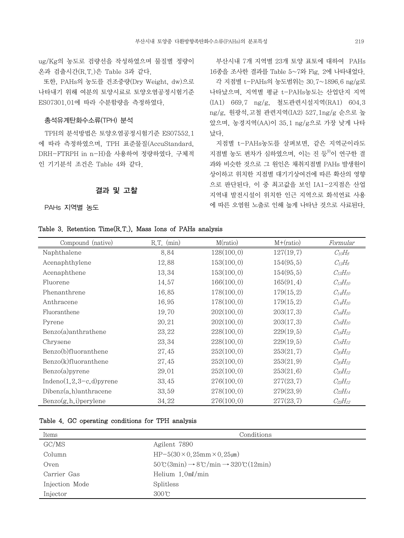ug/Kg의 농도로 검량선을 작성하였으며 물질별 정량이 온과 검출시간(R.T.)은 Table 3과 같다.

 또한, PAHs의 농도를 건조중량(Dry Weight, dw)으로 나타내기 위해 여분의 토양시료로 토양오염공정시험기준 ES07301.01에 따라 수분함량을 측정하였다.

#### 총석유계탄화수소류(TPH) 분석

 TPH의 분석방법은 토양오염공정시험기준 ES07552.1 에 따라 측정하였으며, TPH 표준물질(AccuStandard, DRH-FTRPH in n-H)을 사용하여 정량하였다. 구체적 인 기기분석 조건은 Table 4와 같다.

### 결과 및 고찰

PAHs 지역별 농도

 부산시내 7개 지역별 23개 토양 표토에 대하여 PAHs 16종을 조사한 결과를 Table 5~7와 Fig. 2에 나타내었다. 각 지점별 t-PAHs의 농도범위는 30.7~1896.6 ng/g로 나타났으며, 지역별 평균 t-PAHs농도는 산업단지 지역 (IA1) 669.7 ng/g, 철도관련시설지역(RA1) 604.3 ng/g, 원광석,고철 관련지역(IA2) 527.1ng/g 순으로 높 았으며, 농경지역(AA)이 35.1 ng/g으로 가장 낮게 나타 났다.

 지점별 t-PAHs농도를 살펴보면, 같은 지역군이라도 지점별 농도 편차가 심하였으며, 이는 진 등<sup>9)</sup>이 연구한 결 과와 비슷한 것으로 그 원인은 채취지점별 PAHs 발생원이 상이하고 위치한 지점별 대기기상여건에 따른 확산의 영향 으로 판단된다. 이 중 최고값을 보인 IA1-2지점은 산업 지역내 발전시설이 위치한 인근 지역으로 화석연료 사용 에 따른 오염원 노출로 인해 높게 나타난 것으로 사료된다.

#### Table 3. Retention Time(R.T.), Mass Ions of PAHs analysis

| Compound (native)              | $R.T.$ (min) | M(ratio)    | $M+(ratio)$ | Formular       |
|--------------------------------|--------------|-------------|-------------|----------------|
| Naphthalene                    | 8.84         | 128(100,0)  | 127(19.7)   | $C_{10}H_8$    |
| Acenaphthylene                 | 12.88        | 153(100,0)  | 154(95,5)   | $C_{12}H_8$    |
| Acenaphthene                   | 13.34        | 153(100,0)  | 154(95,5)   | $C_{12}H_{10}$ |
| Fluorene                       | 14.57        | 166(100,0)  | 165(91,4)   | $C_{13}H_{10}$ |
| Phenanthrene                   | 16.85        | 178(100,0)  | 179(15,2)   | $C_{14}H_{10}$ |
| Anthracene                     | 16.95        | 178(100,0)  | 179(15,2)   | $C_{14}H_{10}$ |
| Fluoranthene                   | 19.70        | 202(100, 0) | 203(17,3)   | $C_{16}H_{10}$ |
| Pyrene                         | 20.21        | 202(100, 0) | 203(17,3)   | $C_{16}H_{10}$ |
| Benzo(a)anthrathene            | 23.22        | 228(100,0)  | 229(19.5)   | $C_{18}H_{12}$ |
| Chrysene                       | 23.34        | 228(100,0)  | 229(19,5)   | $C_{18}H_{12}$ |
| Benzo(b)fluoranthene           | 27.45        | 252(100,0)  | 253(21,7)   | $C_{20}H_{12}$ |
| Benzo(k)fluoranthene           | 27.45        | 252(100,0)  | 253(21,9)   | $C_{20}H_{12}$ |
| $Benzo(a)$ pyrene              | 29.01        | 252(100,0)  | 253(21,6)   | $C_{20}H_{12}$ |
| Indeno $(1,2,3-c,d)$ pyrene    | 33.45        | 276(100,0)  | 277(23,7)   | $C_{22}H_{12}$ |
| $Dibenz(a,h)$ anthracene       | 33.59        | 278(100,0)  | 279(23, 9)  | $C_{22}H_{14}$ |
| $\text{Benzo}(g,h,i)$ perylene | 34.22        | 276(100,0)  | 277(23,7)   | $C_{22}H_{12}$ |

#### Table 4. GC operating conditions for TPH analysis

| Items          | Conditions                                                                                                               |
|----------------|--------------------------------------------------------------------------------------------------------------------------|
| GC/MS          | Agilent 7890                                                                                                             |
| Column         | $HP-5(30 \times 0.25 \text{mm} \times 0.25 \text{mm})$                                                                   |
| Oven           | $50\degree \text{C}(3\text{min}) \rightarrow 8\degree \text{C}/\text{min} \rightarrow 320\degree \text{C}(12\text{min})$ |
| Carrier Gas    | Helium $1.0 \text{m}$ l/min                                                                                              |
| Injection Mode | Splitless                                                                                                                |
| Injector       | $300\degree$                                                                                                             |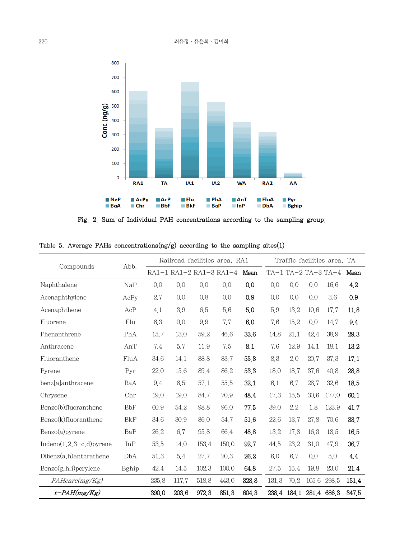

Fig. 2. Sum of Individual PAH concentrations according to the sampling group.

|                             |            | Railroad facilities area, RA1<br>Traffic facilities area. TA |       |                         |       |       |       |      |                         |                     |       |
|-----------------------------|------------|--------------------------------------------------------------|-------|-------------------------|-------|-------|-------|------|-------------------------|---------------------|-------|
| Compounds                   | Abb.       |                                                              |       | RA1-1 RA1-2 RA1-3 RA1-4 |       | Mean  |       |      |                         | TA-1 TA-2 TA-3 TA-4 | Mean  |
| Naphthalene                 | NaP        | 0,0                                                          | 0,0   | 0,0                     | 0,0   | 0,0   | 0,0   | 0,0  | 0,0                     | 16.6                | 4.2   |
| Acenaphthylene              | AcPy       | 2.7                                                          | 0,0   | 0,8                     | 0,0   | 0.9   | 0,0   | 0.0  | 0,0                     | 3.6                 | 0,9   |
| Acenaphthene                | AcP        | 4.1                                                          | 3.9   | 6.5                     | 5.6   | 5.0   | 5.9   | 13.2 | 10.6                    | 17.7                | 11,8  |
| Fluorene                    | Flu        | 6.3                                                          | 0,0   | 9.9                     | 7.7   | 6.0   | 7.6   | 15.2 | 0,0                     | 14.7                | 9.4   |
| Phenanthrene                | PhA        | 15.7                                                         | 13.0  | 59.2                    | 46.6  | 33,6  | 14.8  | 21.1 | 42.4                    | 38.9                | 29.3  |
| Anthracene                  | AnT        | 7.4                                                          | 5.7   | 11.9                    | 7.5   | 8.1   | 7.6   | 12.9 | 14.1                    | 18.1                | 13,2  |
| Fluoranthene                | FluA       | 34.6                                                         | 14.1  | 88.8                    | 83.7  | 55.3  | 8.3   | 2.0  | 20.7                    | 37.3                | 17.1  |
| Pyrene                      | Pyr        | 22.0                                                         | 15.6  | 89.4                    | 86.2  | 53.3  | 18.0  | 18.7 | 37.6                    | 40.8                | 28,8  |
| benz[a]anthracene           | BaA        | 9.4                                                          | 6.5   | 57.1                    | 55.5  | 32.1  | 6.1   | 6.7  | 28.7                    | 32.6                | 18,5  |
| Chrysene                    | Chr        | 19.0                                                         | 19.0  | 84.7                    | 70.9  | 48.4  | 17.3  | 15.5 | 30.6                    | 177.0               | 60.1  |
| Benzo(b)fluoranthene        | <b>BbF</b> | 60.9                                                         | 54.2  | 98.8                    | 96.0  | 77.5  | 39.0  | 2.2  | 1.8                     | 123.9               | 41,7  |
| Benzo(k)fluoranthene        | <b>BkF</b> | 34.6                                                         | 30.9  | 86.0                    | 54.7  | 51,6  | 22.6  | 13.7 | 27.8                    | 70.6                | 33.7  |
| Benzo(a)pyrene              | BaP        | 26.2                                                         | 6.7   | 95.8                    | 66.4  | 48.8  | 13.2  | 17.8 | 16.3                    | 18.5                | 16.5  |
| Indeno $(1,2,3-c,d)$ pyrene | InP        | 53.5                                                         | 14.0  | 153.4                   | 150.0 | 92.7  | 44.5  | 23.2 | 31,0                    | 47.9                | 36.7  |
| $Dibenz(a,h)$ anthrathene   | DbA        | 51.3                                                         | 5.4   | 27.7                    | 20.3  | 26.2  | 6.0   | 6.7  | 0.0                     | 5.0                 | 4,4   |
| $Benzo(g, h, i)$ perylene   | Bghip      | 42.4                                                         | 14.5  | 102.3                   | 100.0 | 64,8  | 27,5  | 15.4 | 19.8                    | 23.0                | 21.4  |
| PAHcarc(mg/Kg)              |            | 235.8                                                        | 117.7 | 518.8                   | 443.0 | 328.8 | 131.3 | 70.2 | 105.6                   | 298.5               | 151.4 |
| $t$ -PAH(mg/Kg)             |            | 390.0                                                        | 203.6 | 972.3                   | 851,3 | 604.3 |       |      | 238.4 184.1 281.4 686.3 |                     | 347.5 |

Table 5. Average PAHs concentrations(ng/g) according to the sampling sites(1)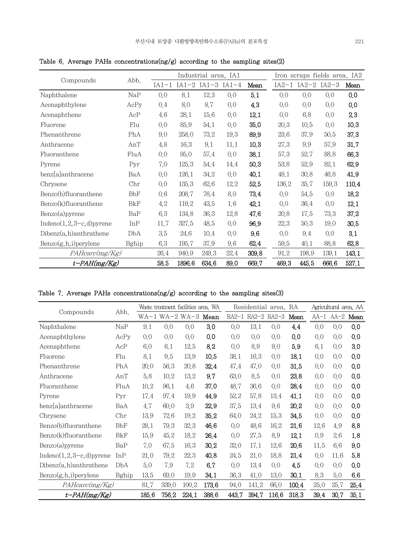|                             |            |         |        | Industrial area, IA1    |      |       | Iron scraps fields area, IA2 |                   |       |       |
|-----------------------------|------------|---------|--------|-------------------------|------|-------|------------------------------|-------------------|-------|-------|
| Compounds                   | Abb.       | $IA1-1$ |        | $IA1-2$ $IA1-3$ $IA1-4$ |      | Mean  |                              | IA2-1 IA2-2 IA2-3 |       | Mean  |
| Naphthalene                 | NaP        | 0.0     | 8.1    | 12.3                    | 0.0  | 5.1   | 0,0                          | 0,0               | 0.0   | 0.0   |
| Acenaphthylene              | AcPy       | 0.4     | 8.0    | 8.7                     | 0.0  | 4,3   | 0.0                          | 0,0               | 0.0   | 0.0   |
| Acenaphthene                | AcP        | 4.6     | 28.1   | 15.6                    | 0.0  | 12.1  | 0.0                          | 6.8               | 0.0   | 2,3   |
| Fluorene                    | Flu        | 0,0     | 85.9   | 54.1                    | 0,0  | 35.0  | 20.3                         | 10,5              | 0.0   | 10,3  |
| Phenanthrene                | PhA        | 9.0     | 258.0  | 73.2                    | 19.3 | 89.9  | 23.6                         | 37.9              | 50.5  | 37.3  |
| Anthracene                  | AnT        | 4.8     | 16.3   | 9.1                     | 11,1 | 10,3  | 27.3                         | 9.9               | 57.9  | 31,7  |
| Fluoranthene                | FluA       | 0,0     | 95.0   | 57.4                    | 0.0  | 38.1  | 57.3                         | 52.7              | 88.8  | 66.3  |
| Pyrene                      | Pyr        | 7.0     | 125.3  | 54.4                    | 14.4 | 50,3  | 53.8                         | 52,9              | 82.1  | 62,9  |
| benz[a]anthracene           | BaA        | 0,0     | 126.1  | 34.2                    | 0.0  | 40.1  | 48.1                         | 30,8              | 46.8  | 41,9  |
| Chrysene                    | Chr        | 0.0     | 135.3  | 62.6                    | 12.2 | 52,5  | 136.2                        | 35.7              | 159.3 | 110.4 |
| Benzo(b)fluoranthene        | <b>BbF</b> | 0.6     | 208.7  | 76.4                    | 8.0  | 73.4  | 0.0                          | 54.5              | 0.0   | 18.2  |
| Benzo(k)fluoranthene        | <b>BkF</b> | 4.2     | 119.2  | 43.5                    | 1.6  | 42,1  | 0.0                          | 36.4              | 0.0   | 12.1  |
| Benzo(a)pyrene              | BaP        | 6.3     | 134.8  | 36.3                    | 12,8 | 47.6  | 20,8                         | 17.5              | 73.3  | 37.2  |
| Indeno $(1,2,3-c,d)$ pyrene | InP        | 11.7    | 327.5  | 48.5                    | 0.0  | 96.9  | 22.3                         | 50.3              | 19.0  | 30,5  |
| $Dibenz(a,h)$ anthrathene   | DbA        | 3.5     | 24.6   | 10,4                    | 0,0  | 9.6   | 0.0                          | 9.4               | 0.0   | 3.1   |
| $Benzo(g, h, i)$ perylene   | Bghip      | 6.3     | 195.7  | 37.9                    | 9.6  | 62.4  | 59.5                         | 40.1              | 88.8  | 62,8  |
| PAHcarc(mg/Kg)              |            | 26.4    | 940.9  | 249.3                   | 22.4 | 309.8 | 91.2                         | 198.9             | 139.1 | 143.1 |
| $t$ -PAH(mg/Kg)             |            | 58,5    | 1896.6 | 634,6                   | 89.0 | 669.7 | 469.3                        | 445.5             | 666.6 | 527.1 |

Table 6. Average PAHs concentrations(ng/g) according to the sampling sites(2)

Table 7. Average PAHs concentrations(ng/g) according to the sampling sites(3)

|                             |            |       |       | Waste treatment facilities area, WA |       |       | Residential area, RA |       |       |      | Agricultural area, AA |      |
|-----------------------------|------------|-------|-------|-------------------------------------|-------|-------|----------------------|-------|-------|------|-----------------------|------|
| Compounds                   | Abb.       |       |       | $WA-1 WA-2 WA-3 Mean$               |       |       | RA2-1 RA2-2 RA2-3    |       | Mean  |      | AA-1 AA-2 Mean        |      |
| Naphthalene                 | NaP        | 9.1   | 0,0   | 0,0                                 | 3.0   | 0,0   | 13.1                 | 0,0   | 4.4   | 0,0  | 0,0                   | 0,0  |
| Acenaphthylene              | AcPy       | 0,0   | 0.0   | 0,0                                 | 0,0   | 0,0   | 0.0                  | 0,0   | 0.0   | 0.0  | 0.0                   | 0.0  |
| Acenaphthene                | AcP        | 6.0   | 6.1   | 12.5                                | 8.2   | 0,0   | 8.9                  | 9.0   | 5.9   | 6.1  | 0.0                   | 3.0  |
| Fluorene                    | Flu        | 8.1   | 9.5   | 13.9                                | 10,5  | 38.1  | 16.3                 | 0,0   | 18.1  | 0.0  | 0.0                   | 0.0  |
| Phenanthrene                | PhA        | 20,0  | 56.3  | 20,8                                | 32,4  | 47.4  | 47.0                 | 0,0   | 31,5  | 0.0  | 0.0                   | 0.0  |
| Anthracene                  | AnT        | 5.8   | 10,2  | 13.2                                | 9.7   | 63.0  | 8.5                  | 0,0   | 23,8  | 0.0  | 0.0                   | 0,0  |
| Fluoranthene                | FluA       | 10,2  | 96.1  | 4.6                                 | 37.0  | 48.7  | 36.6                 | 0,0   | 28.4  | 0.0  | 0.0                   | 0,0  |
| Pyrene                      | Pyr        | 17.4  | 97.4  | 19.9                                | 44,9  | 52.2  | 57.8                 | 13.4  | 41,1  | 0.0  | 0.0                   | 0,0  |
| benz[a]anthracene           | BaA        | 4.7   | 60.0  | 3.9                                 | 22,9  | 37.5  | 13.4                 | 9.6   | 20,2  | 0.0  | 0.0                   | 0.0  |
| Chrysene                    | Chr        | 13.9  | 72.6  | 19.2                                | 35,2  | 64.0  | 24.2                 | 15.3  | 34,5  | 0.0  | 0.0                   | 0,0  |
| Benzo(b)fluoranthene        | BbF        | 28.1  | 79.3  | 32.3                                | 46,6  | 0,0   | 48.6                 | 16.2  | 21,6  | 12.6 | 4.9                   | 8,8  |
| Benzo(k)fluoranthene        | <b>BkF</b> | 15.9  | 45.2  | 18.2                                | 26,4  | 0,0   | 27.5                 | 8.9   | 12.1  | 0.9  | 2.6                   | 1,8  |
| Benzo(a)pyrene              | BaP        | 7.0   | 67.5  | 16.3                                | 30.2  | 32.0  | 17.1                 | 12.6  | 20,6  | 11.5 | 6.6                   | 9.0  |
| Indeno $(1,2,3-c,d)$ pyrene | InP        | 21.0  | 79.2  | 22.3                                | 40,8  | 24.5  | 21.0                 | 18.8  | 21.4  | 0.0  | 11.6                  | 5.8  |
| $Dibenz(a,h)$ anthrathene   | DbA        | 5.0   | 7.9   | 7.2                                 | 6.7   | 0.0   | 13.4                 | 0,0   | 4,5   | 0.0  | 0.0                   | 0,0  |
| Benzo(g, h, i) perylene     | Bghip      | 13.5  | 69.0  | 19.9                                | 34.1  | 36.3  | 41,0                 | 13.0  | 30.1  | 8.3  | 5.0                   | 6,6  |
| PAHcarc(mg/Kg)              |            | 81.7  | 339.0 | 100.2                               | 173.6 | 94.0  | 141.2                | 66.0  | 100.4 | 25,0 | 25.7                  | 25.4 |
| $t$ -PAH(mg/Kg)             |            | 185.6 | 756.2 | 224.1                               | 388.6 | 443.7 | 394.7                | 116.6 | 318.3 | 39.4 | 30.7                  | 35.1 |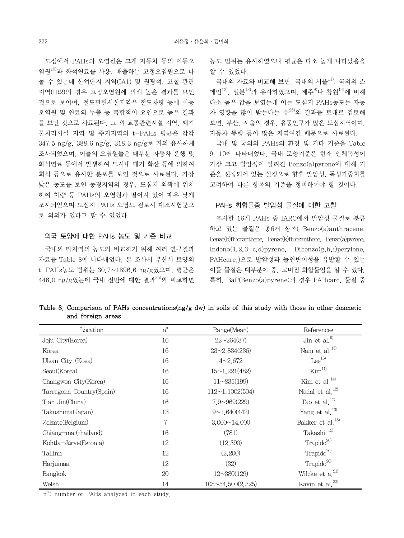도심에서 PAHs의 오염원은 크게 자동차 등의 이동오 염원10)과 화석연료를 사용, 배출하는 고정오염원으로 나 눌 수 있는데 산업단지 지역(IA1) 및 원광석, 고철 관련 지역(IR2)의 경우 고정오염원에 의해 높은 결과를 보인 것으로 보이며, 철도관련시설지역은 철도차량 등에 이동 오염원 및 연료의 누출 등 복합적이 요인으로 높은 결과 를 보인 것으로 사료된다. 그 외 교통관련시설 지역, 폐기 물처리시설 지역 및 주거지역의 t-PAHs 평균은 각각 347.5 ng/g, 388.6 ng/g, 318.3 ng/g로 거의 유사하게 조사되었으며, 이들의 오염원들은 대부분 자동차 운행 및 화석연료 등에서 발생하여 도시내 대기 확산 등에 의하여 희석 등으로 유사한 분포를 보인 것으로 사료된다. 가장 낮은 농도를 보인 농경지역의 경우, 도심지 외곽에 위치 하여 차량 등 PAHs의 오염원과 떨어져 있어 매우 낮게 조사되었으며 도심지 PAHs 오염도 검토시 대조시험군으 로 의의가 있다고 할 수 있었다.

#### 외국 토양에 대한 PAHs 농도 및 기준 비교

 국내외 타지역의 농도와 비교하기 위해 여러 연구결과 자료를 Table 8에 나타내었다. 본 조사시 부산시 토양의 t-PAHs농도 범위는 30.7~1896.6 ng/g였으며, 평균은  $446.0 \text{ ng/g9}$ 는데 국내 전반에 대한 결과 $^{35)}$ 와 비교하면 농도 범위는 유사하였으나 평균은 다소 높게 나타났음을 알 수 있었다.

 국내외 자료와 비교해 보면, 국내의 서울11), 국외의 스 페인<sup>12)</sup> 일보<sup>13)</sup>과 유사하였으며, 제주<sup>9)</sup>나 창원<sup>14)</sup>에 비해 다소 높은 값을 보였는데 이는 도심지 PAHs농도는 자동 차 영향을 많이 받는다는 유<sup>26)</sup>의 결과를 토대로 검토해 보면, 부산, 서울의 경우, 유동인구가 많은 도심지역이며, 자동차 통행 등이 많은 지역여건 때문으로 사료된다.

 국내 및 국외의 PAHs의 환경 및 기타 기준을 Table 9, 10에 나타내었다. 국내 토양기준은 현재 인체독성이 가장 크고 발암성이 알려진 Benzo(a)pyrene에 대해 기 준을 선정되어 있는 실정으로 향후 발암성, 독성가중치를 고려하여 다른 항목의 기준을 정비하여야 할 것이다.

#### PAHs 화합물중 발암성 물질에 대한 고찰

 조사한 16개 PAHs 중 IARC에서 발암성 물질로 분류 하고 있는 물질은 총6개 항목( Benzo(a)anthracene, Benzo(b)fluoranthene, Benzo(k)fluoranthene, Benzo(a)pyrene, Indeno $(1,2,3-c,d)$ pyrene, Dibenzo $(g,h,i)$ perylene, PAHcarc.)으로 발암성과 돌연변이성을 유발할 수 있는 이들 물질은 대부분이 중, 고비점 화합물임을 알 수 있다. 특히, BaP(Benzo(a)pyrene)의 경우 PAHcarc. 물질 중

Table 8. Comparison of PAHs concentrations( $ng/g$  dw) in soils of this study with those in other dosmetic and foreign areas

| Location                 | $n^a$ | Range(Mean)              | References                   |
|--------------------------|-------|--------------------------|------------------------------|
| Jeju City(Korea)         | 16    | $22 \sim 264(87)$        | Jin et al. $^{9)}$           |
| Korea                    | 16    | $23 - 2,834(236)$        | Nam et al. <sup>15)</sup>    |
| Ulsan City (Koea)        | 16    | $4 \sim 2.672$           | $Lee^{16}$                   |
| Seoul(Korea)             | 16    | 15~1.221(482)            | Kim <sup>11</sup>            |
| Changwon City(Korea)     | 16    | $11 \sim 835(199)$       | Kim et al. $^{14)}$          |
| Tarragona Country(Spain) | 16    | $112 \sim 1,1002(504)$   | Nadal et al. $^{12)}$        |
| Tian Jin(China)          | 16    | $7.9 \sim 969(229)$      | Tao et al. $^{17)}$          |
| Takushima(Japan)         | 13    | 9~1.640(442)             | Yang et al. <sup>13)</sup>   |
| Zelzate(Belgium)         | 7     | $3,000 \sim 14,000$      | Bakker et al. <sup>18)</sup> |
| Chiang-mai(thailand)     | 16    | (781)                    | Takashi <sup>19)</sup>       |
| Kohtla-Järve(Estonia)    | 12    | (12, 390)                | $\text{Trapido}^{20}$        |
| Tallinn                  | 12    | (2,200)                  | Trapido <sup>20)</sup>       |
| Harjumaa                 | 12    | (32)                     | Trapido $^{20}$              |
| Bangkok                  | 20    | $12 \sim 380(129)$       | Wilcke et $a^{21}$           |
| Welsh                    | 14    | $108 \sim 54,500(2,325)$ | Kavin et al. <sup>22)</sup>  |

n<sup>a</sup>: number of PAHs analyzed in each study.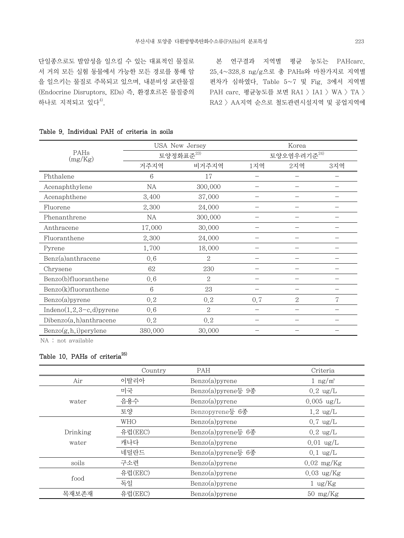단일종으로도 발암성을 일으킬 수 있는 대표적인 물질로 서 거의 모든 실험 동물에서 가능한 모든 경로를 통해 암 을 일으키는 물질로 주목되고 있으며, 내분비성 교란물질 (Endocrine Disruptors, EDs) 즉, 환경호르몬 물질중의 하나로 지적되고 있다 $4^9$ .

 본 연구결과 지역별 평균 농도는 PAHcarc. 25.4~328.8 ng/g으로 총 PAHs와 마찬가지로 지역별 편차가 심하였다. Table 5~7 및 Fig. 3에서 지역별 PAH carc. 평균농도를 보면 RA1 > IA1 > WA > TA > RA2 > AA지역 순으로 철도관련시설지역 및 공업지역에

|                             |         | USA New Jersey         |      | Korea                   |     |  |  |
|-----------------------------|---------|------------------------|------|-------------------------|-----|--|--|
| PAHs<br>(mg/Kg)             |         | 토양정화표준 <sup>23)</sup>  |      | 토양오염우려기준 <sup>24)</sup> |     |  |  |
|                             | 거주지역    | 비거주지역                  | 1지역  | 2지역                     | 3지역 |  |  |
| Phthalene                   | 6       | 17                     |      |                         |     |  |  |
| Acenaphthylene              | NA      | 300,000                |      |                         |     |  |  |
| Acenaphthene                | 3,400   | 37,000                 |      |                         |     |  |  |
| Fluorene                    | 2,300   | 24,000                 |      |                         |     |  |  |
| Phenanthrene                | NA      | 300,000                |      |                         |     |  |  |
| Anthracene                  | 17,000  | 30,000                 |      |                         |     |  |  |
| Fluoranthene                | 2,300   | 24,000                 |      |                         |     |  |  |
| Pyrene                      | 1,700   | 18,000                 |      |                         |     |  |  |
| Benz(a)anthracene           | 0,6     | $\overline{2}$         |      |                         |     |  |  |
| Chrysene                    | 62      | 230                    |      |                         |     |  |  |
| Benzo(b)fluoranthene        | 0.6     | $\mathcal{D}_{\alpha}$ |      |                         |     |  |  |
| Benzo(k)fluoranthene        | 6       | 23                     |      |                         |     |  |  |
| $Benzo(a)$ pyrene           | 0, 2    | 0.2                    | 0, 7 | $\overline{2}$          | 7   |  |  |
| Indeno $(1,2,3-c,d)$ pyrene | 0.6     | $\overline{2}$         |      |                         |     |  |  |
| $Dibenzo(a,h)$ anthracene   | 0, 2    | 0, 2                   |      |                         |     |  |  |
| Benzo(g,h,i)perylene        | 380,000 | 30,000                 |      |                         |     |  |  |

### Table 9. Individual PAH of criteria in soils

NA : not available

# Table 10. PAHs of criteria<sup>25)</sup>

|          | Country | PAH                   | Criteria             |
|----------|---------|-----------------------|----------------------|
| Air      | 이탈리아    | $Benzo(a)$ pyrene     | $1 \text{ ng/m}^3$   |
|          | 미국      | $Benzo(a)$ pyrene등 9종 | $0.2 \text{ ug/L}$   |
| water    | 음용수     | $Benzo(a)$ pyrene     | $0.005 \text{ ug/L}$ |
|          | 토양      | Benzopyrene등 6종       | $1.2 \text{ ug/L}$   |
|          | WHO     | $Benzo(a)$ pyrene     | $0.7 \text{ ug/L}$   |
| Drinking | 유럽(EEC) | Benzo(a)pyrene등 6종    | $0.2 \text{ ug/L}$   |
| water    | 캐나다     | $Benzo(a)$ pyrene     | $0.01 \text{ ug/L}$  |
|          | 네덜란드    | Benzo(a)pyrene등 6종    | $0.1 \text{ ug/L}$   |
| soils    | 구소련     | $Benzo(a)$ pyrene     | $0.02 \text{ mg/Kg}$ |
| food     | 유럽(EEC) | $Benzo(a)$ pyrene     | $0.03 \text{ ug/Kg}$ |
|          | 독일      | $Benzo(a)$ pyrene     | $1 \text{ ug/Kg}$    |
| 목재보존재    | 유럽(EEC) | $Benzo(a)$ pyrene     | $50 \text{ mg/Kg}$   |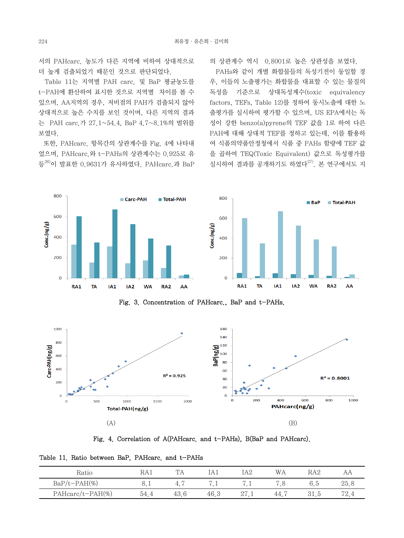서의 PAHcarc. 농도가 다른 지역에 비하여 상대적으로 더 높게 검출되었기 때문인 것으로 판단되었다.

 Table 11는 지역별 PAH carc. 및 BaP 평균농도를 t-PAH에 환산하여 표시한 것으로 지역별 차이를 볼 수 있으며, AA지역의 경우, 저비점의 PAH가 검출되지 않아 상대적으로 높은 수치를 보인 것이며, 다른 지역의 결과 는 PAH carc.가 27.1~54.4, BaP 4.7~8.1%의 범위를 보였다.

 또한, PAHcarc. 항목간의 상관계수를 Fig. 4에 나타내 었으며, PAHcarc.와 t-PAHs의 상관계수는 0.925로 유 등<sup>26)</sup>이 발표한 0.9631가 유사하였다. PAHcarc.과 BaP 의 상관계수 역시 0.8001로 높은 상관성을 보였다.

 PAHs와 같이 개별 화합물들의 독성기전이 동일할 경 우, 이들의 노출평가는 화합물을 대표할 수 있는 물질의 독성을 기준으로 상대독성계수(toxic equivalency factors, TEFs, Table 12)를 정하여 동시노출에 대한 노 출평가를 실시하여 평가할 수 있으며, US EPA에서는 독 성이 강한 benzo(a)pyrene의 TEF 값을 1로 하여 다른 PAH에 대해 상대적 TEF를 정하고 있는데, 이를 활용하 여 식품의약품안정청에서 식품 중 PAHs 함량에 TEF 값 을 곱하여 TEQ(Toxic Equivalent) 값으로 독성평가를 실시하여 결과를 공개하기도 하였다 $^{27)}$ . 본 연구에서도 지



Fig. 3. Concentration of PAHcarc., BaP and t-PAHs.



Fig. 4. Correlation of A(PAHcarc. and t-PAHs), B(BaP and PAHcarc).

Table 11. Ratio between BaP, PAHcarc. and t-PAHs

| Katıc               |                 |      |      | ΛC<br>IA4 | W A         |                 |              |
|---------------------|-----------------|------|------|-----------|-------------|-----------------|--------------|
| $BaP/t-PAH$ %       | $\sim$ . $\sim$ | ≄.   | .    | . .       | $\check{ }$ | $J_{\bullet}$ . | $\Delta$ 0.0 |
| $PAHcarc/t-PAH(\%)$ |                 | 43.0 | 46.3 | 41.1      | 44.         |                 | 70           |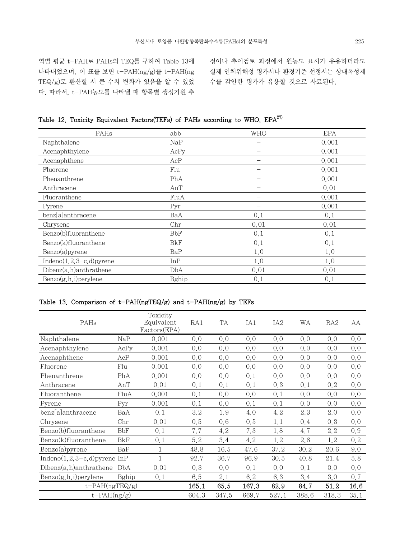역별 평균 t-PAH로 PAHs의 TEQ를 구하여 Table 13에 나타내었으며, 이 표를 보면 t-PAH(ng/g)를 t-PAH(ng TEQ/g)로 환산할 시 큰 수치 변화가 있음을 알 수 있었 다. 따라서, t-PAH농도를 나타낼 때 항목별 생성기원 추

정이나 추이검토 과정에서 원농도 표시가 유용하더라도 실제 인체위해성 평가시나 환경기준 선정시는 상대독성계 수를 감안한 평가가 유용할 것으로 사료된다.

|  |  | Table 12. Toxicity Equivalent Factors(TEFs) of PAHs according to WHO, EPA <sup>27)</sup> |  |  |  |
|--|--|------------------------------------------------------------------------------------------|--|--|--|
|  |  |                                                                                          |  |  |  |

| PAHs                           | abb   | WHO                      | <b>EPA</b> |
|--------------------------------|-------|--------------------------|------------|
| Naphthalene                    | NaP   |                          | 0.001      |
| Acenaphthylene                 | AcPy  |                          | 0.001      |
| Acenaphthene                   | AcP   |                          | 0.001      |
| Fluorene                       | Flu   | $\overline{\phantom{0}}$ | 0.001      |
| Phenanthrene                   | PhA   |                          | 0.001      |
| Anthracene                     | AnT   |                          | 0.01       |
| Fluoranthene                   | FluA  |                          | 0.001      |
| Pyrene                         | Pyr   |                          | 0.001      |
| benz[a]anthracene              | BaA   | 0,1                      | 0,1        |
| Chrysene                       | Chr   | 0.01                     | 0.01       |
| Benzo(b)fluoranthene           | BbF   | 0,1                      | 0,1        |
| Benzo(k)fluoranthene           | BkF   | 0,1                      | 0,1        |
| $Benzo(a)$ pyrene              | BaP   | 1,0                      | 1,0        |
| Indeno $(1, 2, 3-c, d)$ pyrene | InP   | 1,0                      | 1,0        |
| Dibenz(a, h)anthrathene        | DbA   | 0.01                     | 0.01       |
| $Benzo(g, h, i)$ perylene      | Bghip | 0,1                      | 0.1        |

# Table 13. Comparison of  $t-PAH(ngTEQ/g)$  and  $t-PAH(ng/g)$  by TEFs

| PAHs                            |       | Toxicity<br>Equivalent<br>Factors(EPA) | RA1   | TA    | IA1   | IA <sub>2</sub> | WА       | RA2   | AA   |
|---------------------------------|-------|----------------------------------------|-------|-------|-------|-----------------|----------|-------|------|
| Naphthalene                     | NaP   | 0.001                                  | 0,0   | 0,0   | 0,0   | 0,0             | 0,0      | 0,0   | 0,0  |
| Acenaphthylene                  | AcPy  | 0.001                                  | 0,0   | 0.0   | 0.0   | 0,0             | 0,0      | 0,0   | 0,0  |
| Acenaphthene                    | AcP   | 0.001                                  | 0.0   | 0.0   | 0.0   | 0,0             | 0,0      | 0,0   | 0.0  |
| Fluorene                        | Flu   | 0.001                                  | 0,0   | 0.0   | 0.0   | 0,0             | 0,0      | 0,0   | 0.0  |
| Phenanthrene                    | PhA   | 0.001                                  | 0,0   | 0.0   | 0,1   | 0,0             | 0,0      | 0,0   | 0.0  |
| Anthracene                      | AnT   | 0.01                                   | 0,1   | 0,1   | 0.1   | 0.3             | 0,1      | 0, 2  | 0,0  |
| Fluoranthene                    | FluA  | 0.001                                  | 0,1   | 0.0   | 0.0   | 0,1             | 0,0      | 0,0   | 0.0  |
| Pyrene                          | Pyr   | 0.001                                  | 0,1   | 0.0   | 0,1   | 0,1             | 0,0      | 0,0   | 0,0  |
| benz[a]anthracene               | BaA   | 0,1                                    | 3.2   | 1.9   | 4.0   | 4.2             | 2.3      | 2.0   | 0,0  |
| Chrysene                        | Chr   | 0.01                                   | 0.5   | 0.6   | 0.5   | 1,1             | 0,4      | 0,3   | 0.0  |
| Benzo(b)fluoranthene            | BbF   | 0,1                                    | 7.7   | 4.2   | 7.3   | 1.8             | 4.7      | 2.2   | 0.9  |
| Benzo(k)fluoranthene            | BkF   | 0,1                                    | 5.2   | 3.4   | 4.2   | 1.2             | 2.6      | 1.2   | 0, 2 |
| $Benzo(a)$ pyrene               | BaP   | 1                                      | 48.8  | 16.5  | 47.6  | 37.2            | $30.2\,$ | 20.6  | 9.0  |
| Indeno $(1,2,3-c,d)$ pyrene InP |       | $\mathbf{1}$                           | 92.7  | 36.7  | 96.9  | 30.5            | 40.8     | 21.4  | 5.8  |
| $Dibenz(a,h)$ anthrathene       | DbA   | 0.01                                   | 0.3   | 0,0   | 0,1   | 0,0             | 0,1      | 0,0   | 0,0  |
| Benzo(g,h,i)perylene            | Bghip | 0,1                                    | 6.5   | 2.1   | 6.2   | 6.3             | 3.4      | 3.0   | 0.7  |
| $t$ -PAH $(ngTEQ/g)$            |       |                                        | 165.1 | 65.5  | 167.3 | 82.9            | 84.7     | 51.2  | 16.6 |
| $t-PAH(ng/g)$                   |       |                                        | 604.3 | 347.5 | 669.7 | 527.1           | 388.6    | 318.3 | 35.1 |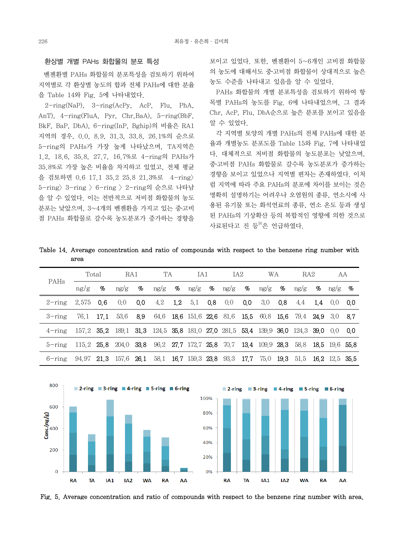#### 환상별 개별 PAHs 화합물의 분포 특성

 벤젠환별 PAHs 화합물의 분포특성을 검토하기 위하여 지역별로 각 환상별 농도의 합과 전체 PAHs에 대한 분율 을 Table 14와 Fig. 5에 나타내었다.

 2-ring(NaP), 3-ring(AcPy, AcP, Flu, PhA, AnT), 4-ring(FluA, Pyr, Chr,BaA), 5-ring(BbF, BkF, BaP, DbA), 6-ring(InP, Bghip)의 비율은 RA1 지역의 경우, 0.0, 8.9, 31.3, 33.8, 26.1%의 순으로 5-ring의 PAHs가 가장 높게 나타났으며, TA지역은 1.2, 18.6, 35.8, 27.7, 16.7%로 4-ring의 PAHs가 35.8%로 가장 높은 비율을 차지하고 있었고, 전체 평균 을 검토하면 0.6 17.1 35.2 25.8 21.3%로 4-ring> 5-ring> 3-ring > 6-ring > 2-ring의 순으로 나타남 을 알 수 있었다. 이는 전반적으로 저비점 화합물의 농도 분포는 낮았으며, 3~4개의 벤젠환을 가지고 있는 중․고비 점 PAHs 화합물로 갈수록 농도분포가 증가하는 경향을

보이고 있었다. 또한, 벤젠환이 5~6개인 고비점 화합물 의 농도에 대해서도 중․고비점 화합물이 상대적으로 높은 농도 수준을 나타내고 있음을 알 수 있었다.

 PAHs 화합물의 개별 분포특성을 검토하기 위하여 항 목별 PAHs의 농도를 Fig. 6에 나타내었으며, 그 결과 Chr, AcP, Flu, DbA순으로 높은 분포를 보이고 있음을 알 수 있었다.

 각 지역별 토양의 개별 PAHs의 전체 PAHs에 대한 분 율과 개별농도 분포도를 Table 15와 Fig. 7에 나타내었 다. 대체적으로 저비점 화합물의 농도분포는 낮았으며, 중․고비점 PAHs 화합물로 갈수록 농도분포가 증가하는 경향을 보이고 있었으나 지역별 편차는 존재하였다. 이처 럼 지역에 따라 주요 PAHs의 분포에 차이를 보이는 것은 명확히 설명하기는 어려우나 오염원의 종류, 연소시에 사 용된 유기물 또는 화석연료의 종류, 연소 온도 등과 생성 된 PAHs의 기상확산 등의 복합적인 영향에 의한 것으로 사료된다고 진 등 $^{9}$ 은 언급하였다.

Table 14. Average concentration and ratio of compounds with respect to the benzene ring number with area

| PAHs                                                                                           | Total                                                                                |   | RA1                                                                           |      | TA                                                                                                                          |  | IA1 |  | IA <sub>2</sub> |  | <b>WA</b> |      | RA <sub>2</sub> |                | AA |
|------------------------------------------------------------------------------------------------|--------------------------------------------------------------------------------------|---|-------------------------------------------------------------------------------|------|-----------------------------------------------------------------------------------------------------------------------------|--|-----|--|-----------------|--|-----------|------|-----------------|----------------|----|
|                                                                                                | ng/g                                                                                 | % | ng/g                                                                          | $\%$ | $\frac{\text{ng}}{\text{g}}$ % $\frac{\text{ng}}{\text{g}}$ % $\frac{\text{ng}}{\text{g}}$ % $\frac{\text{ng}}{\text{g}}$ % |  |     |  |                 |  |           | ng/g |                 | $\%$ ng/g $\%$ |    |
| $2$ -ring                                                                                      | 2.575 0.6                                                                            |   | 0.0                                                                           | 0.0  | 4.2 1.2 5.1 0.8 0.0 0.0 3.0 0.8 4.4 1.4 0.0 0.0                                                                             |  |     |  |                 |  |           |      |                 |                |    |
| $3$ -ring                                                                                      |                                                                                      |   | 76.1 17.1 53.6 8.9 64.6 18.6 151.6 22.6 81.6 15.5 60.8 15.6 79.4 24.9 3.0 8.7 |      |                                                                                                                             |  |     |  |                 |  |           |      |                 |                |    |
| $4$ -ring 157.2 35.2 189.1 31.3 124.5 35.8 181.0 27.0 281.5 53.4 139.9 36.0 124.3 39.0 0.0 0.0 |                                                                                      |   |                                                                               |      |                                                                                                                             |  |     |  |                 |  |           |      |                 |                |    |
| $5 - \text{ring}$                                                                              | 115 2 25 8 204 0 33 8 96 2 27 7 17 2 7 25 8 70 7 13 4 109 9 28 3 58 8 18 5 19 6 55 8 |   |                                                                               |      |                                                                                                                             |  |     |  |                 |  |           |      |                 |                |    |
| 6-ring                                                                                         | 94.97 21.3 157.6 26.1 58.1 16.7 159.3 23.8 93.3 17.7 75.0 19.3 51.5 16.2 12.5 35.5   |   |                                                                               |      |                                                                                                                             |  |     |  |                 |  |           |      |                 |                |    |



Fig. 5. Average concentration and ratio of compounds with respect to the benzene ring number with area.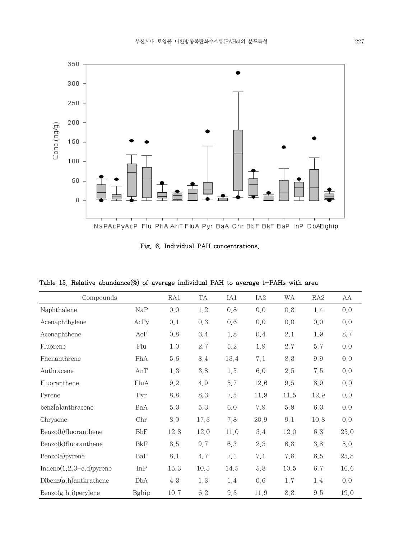

Fig. 6. Individual PAH concentrations.

Table 15. Relative abundance(%) of average individual PAH to average t-PAHs with area

| Compounds                   |            | RA1  | TA   | IA1  | IA <sub>2</sub> | WA      | RA2  | AA   |
|-----------------------------|------------|------|------|------|-----------------|---------|------|------|
| Naphthalene                 | NaP        | 0.0  | 1.2  | 0.8  | 0.0             | 0.8     | 1.4  | 0,0  |
| Acenaphthylene              | AcPy       | 0,1  | 0.3  | 0.6  | 0.0             | 0.0     | 0,0  | 0.0  |
| Acenaphthene                | AcP        | 0.8  | 3.4  | 1.8  | 0.4             | 2.1     | 1.9  | 8.7  |
| Fluorene                    | Flu        | 1,0  | 2.7  | 5.2  | 1.9             | 2.7     | 5.7  | 0,0  |
| Phenanthrene                | PhA        | 5.6  | 8.4  | 13.4 | 7.1             | 8.3     | 9.9  | 0,0  |
| Anthracene                  | AnT        | 1.3  | 3.8  | 1.5  | 6.0             | $2.5\,$ | 7.5  | 0,0  |
| Fluoranthene                | FluA       | 9.2  | 4.9  | 5.7  | 12.6            | 9.5     | 8.9  | 0.0  |
| Pyrene                      | Pyr        | 8.8  | 8.3  | 7.5  | 11.9            | 11.5    | 12.9 | 0,0  |
| benz[a]anthracene           | BaA        | 5.3  | 5.3  | 6.0  | 7.9             | 5.9     | 6.3  | 0,0  |
| Chrysene                    | Chr        | 8.0  | 17.3 | 7.8  | 20.9            | 9.1     | 10.8 | 0,0  |
| Benzo(b)fluoranthene        | <b>BbF</b> | 12.8 | 12.0 | 11.0 | 3.4             | 12.0    | 6.8  | 25.0 |
| Benzo(k)fluoranthene        | <b>BkF</b> | 8.5  | 9.7  | 6.3  | 2.3             | 6.8     | 3.8  | 5.0  |
| $Benzo(a)$ pyrene           | BaP        | 8.1  | 4.7  | 7.1  | 7.1             | 7.8     | 6.5  | 25,8 |
| Indeno $(1,2,3-c,d)$ pyrene | InP        | 15.3 | 10.5 | 14.5 | 5.8             | 10.5    | 6.7  | 16.6 |
| $Dibenz(a,h)$ anthrathene   | DbA        | 4.3  | 1.3  | 1.4  | 0.6             | 1.7     | 1.4  | 0,0  |
| $Benzo(g, h, i)$ perylene   | Bghip      | 10.7 | 6.2  | 9.3  | 11.9            | 8.8     | 9.5  | 19.0 |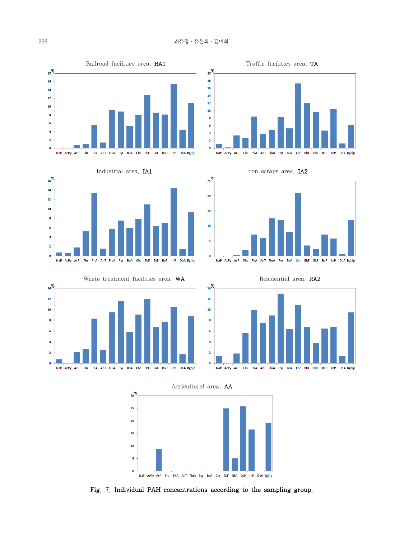











Agricultural area, AA



Fig. 7. Individual PAH concentrations according to the sampling group.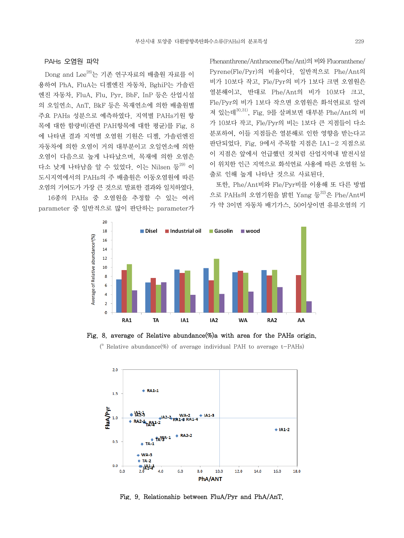#### PAHs 오염원 파악

 Dong and Lee28)는 기존 연구자료의 배출원 자료를 이 용하여 PhA, FluA는 디젤엔진 자동차, BghiP는 가솔린 엔진 자동차, FluA, Flu, Pyr, BbF, InP 등은 산업시설 의 오일연소, AnT, BkF 등은 목재연소에 의한 배출원별 주요 PAHs 성분으로 예측하였다. 지역별 PAHs기원 항 목에 대한 함량비(관련 PAH항목에 대한 평균)를 Fig. 8 에 나타낸 결과 지역별 오염원 기원은 디젤, 가솔린엔진 자동차에 의한 오염이 거의 대부분이고 오일연소에 의한 오염이 다음으로 높게 나타났으며, 목재에 의한 오염은 다소 낮게 나타남을 알 수 있었다. 이는 Nilsen 등 $^{29}$  이 도시지역에서의 PAHs의 주 배출원은 이동오염원에 따른 오염의 기여도가 가장 큰 것으로 발표한 결과와 일치하였다.

 16종의 PAHs 중 오염원을 추정할 수 있는 여러 parameter 중 일반적으로 많이 판단하는 parameter가 Phenanthrene/Anthracene(Phe/Ant)의 비와 Fluoranthene/ Pyrene(Fle/Pyr)의 비율이다. 일반적으로 Phe/Ant의 비가 10보다 작고, Fle/Pyr의 비가 1보다 크면 오염원은 열분해이고, 반대로 Phe/Ant의 비가 10보다 크고, Fle/Pyr의 비가 1보다 작으면 오염원은 화석연료로 알려 져 있는데30,31), Fig. 9를 살펴보면 대부분 Phe/Ant의 비 가 10보다 작고, Fle/Pyr의 비는 1보다 큰 지점들이 다소 분포하여, 이들 지점들은 열분해로 인한 영향을 받는다고 판단되었다. Fig. 9에서 주목할 지점은 IA1-2 지점으로 이 지점은 앞에서 언급했던 것처럼 산업지역내 발전시설 이 위치한 인근 지역으로 화석연료 사용에 따른 오염원 노 출로 인해 높게 나타난 것으로 사료된다.

 또한, Phe/Ant비와 Fle/Pyr비를 이용해 또 다른 방법 으로 PAHs의 오염기원을 밝힌 Yang 등 $32$ 은 Phe/Ant비 가 약 3이면 자동차 배기가스, 50이상이면 유류오염의 기



Fig. 8. average of Relative abundance(%)a with area for the PAHs origin.

( $^{\circ}$  Relative abundance(%) of average individual PAH to average t-PAHs)



Fig. 9. Relationship between FluA/Pyr and PhA/AnT.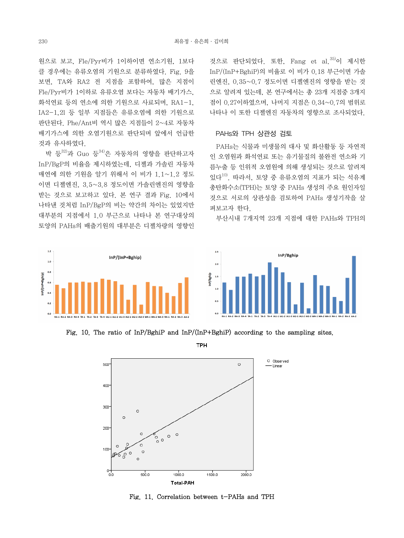$\overline{1.2}$ 

 $\overline{1.0}$  $0.5$ 

 $\overline{0}$  $\overline{a}$ 

nP/(InP+Bghip)

원으로 보고, Fle/Pyr비가 1이하이면 연소기원, 1보다 클 경우에는 유류오염의 기원으로 분류하였다. Fig. 9을 보면, TA와 RA2 전 지점을 포함하여, 많은 지점이 Fle/Pyr비가 1이하로 유류오염 보다는 자동차 배기가스, 화석연료 등의 연소에 의한 기원으로 사료되며, RA1-1, IA2-1,2l 등 일부 지점들은 유류오염에 의한 기원으로 판단된다. Phe/Ant비 역시 많은 지점들이 2~4로 자동차 배기가스에 의한 오염기원으로 판단되며 앞에서 언급한 것과 유사하였다.

 박 등32)과 Guo 등34)은 자동차의 영향을 판단하고자 InP/BgP의 비율을 제시하였는데, 디젤과 가솔린 자동차 매연에 의한 기원을 알기 위해서 이 비가 1.1~1.2 정도 이면 디젤엔진, 3.5~3.8 정도이면 가솔린엔진의 영향을 받는 것으로 보고하고 있다. 본 연구 결과 Fig. 10에서 나타낸 것처럼 InP/BgP의 비는 약간의 차이는 있었지만 대부분의 지점에서 1.0 부근으로 나타나 본 연구대상의 토양의 PAHs의 배출기원의 대부분은 디젤차량의 영향인

InP/(InP+Bghip)

것으로 판단되었다. 또한, Fang et al.  $35$ )이 제시한 InP/(InP+BghiP)의 비율로 이 비가 0.18 부근이면 가솔 린엔진, 0.35~0.7 정도이면 디젤엔진의 영향을 받는 것 으로 알려져 있는데, 본 연구에서는 총 23개 지점중 3개지 점이 0.27이하였으며, 나머지 지점은 0.34~0.7의 범위로 나타나 이 또한 디젤엔진 자동차의 영향으로 조사되었다.

#### PAHs와 TPH 상관성 검토

 PAHs는 식물과 미생물의 대사 및 화산활동 등 자연적 인 오염원과 화석연료 또는 유기물질의 불완전 연소와 기 름누출 등 인위적 오염원에 의해 생성되는 것으로 알려져 있다 $^{10}$ . 따라서, 토양 중 유류오염의 지표가 되는 석유계 총탄화수소(TPH)는 토양 중 PAHs 생성의 주요 원인자일 것으로 서로의 상관성을 검토하여 PAHs 생성기작을 살 펴보고자 한다.

부산시내 7개지역 23개 지점에 대한 PAHs와 TPH의



Fig. 10. The ratio of InP/BghiP and InP/(InP+BghiP) according to the sampling sites.

**TPH** 



Fig. 11. Correlation between t-PAHs and TPH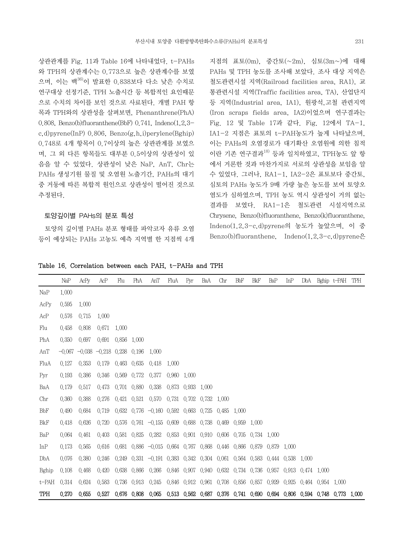상관관계를 Fig. 11과 Table 16에 나타내었다. t-PAHs 와 TPH의 상관계수는 0.773으로 높은 상관계수를 보였 으며, 이는 백36)이 발표한 0.838보다 다소 낮은 수치로 연구대상 선정기준, TPH 노출시간 등 복합적인 요인때문 으로 수치의 차이를 보인 것으로 사료된다. 개별 PAH 항 목과 TPH와의 상관성을 살펴보면, Phenanthrene(PhA) 0.808, Benzo(b)fluoranthene(BbF) 0.741, Indeno(1,2,3 c,d)pyrene(InP) 0.806, Benzo(g,h,i)perylene(Bghip) 0.748로 4개 항목이 0.7이상의 높은 상관관계를 보였으 며, 그 외 다른 항목들도 대부분 0.5이상의 상관성이 있 음을 알 수 있었다. 상관성이 낮은 NaP, AnT, Chr는 PAHs 생성기원 물질 및 오염원 노출기간, PAHs의 대기 중 거동에 따른 복합적 원인으로 상관성이 떨어진 것으로 추정된다.

#### 토양깊이별 PAHs의 분포 특성

 토양의 깊이별 PAHs 분포 형태를 파악코자 유류 오염 등이 예상되는 PAHs 고농도 예측 지역별 한 지점씩 4개

지점의 표토(0m), 중간토(~2m), 심토(3m~)에 대해 PAHs 및 TPH 농도를 조사해 보았다. 조사 대상 지역은 철도관련시설 지역(Railroad facilities area, RA1), 교 통관련시설 지역(Traffic facilities area, TA), 산업단지 등 지역(Industrial area, IA1), 원광석,고철 관련지역 (Iron scraps fields area, IA2)이었으며 연구결과는 Fig. 12 및 Table 17과 같다. Fig. 12에서 TA-1, IA1-2 지점은 표토의 t-PAH농도가 높게 나타났으며, 이는 PAHs의 오염경로가 대기확산 오염원에 의한 침적 이란 기존 연구결과 $^{18)}$  등과 일치하였고, TPH농도 앞 항 에서 거론한 것과 마찬가지로 서로의 상관성을 보임을 알 수 있었다. 그러나, RA1-1, IA2-2은 표토보다 중간토, 심토의 PAHs 농도가 9배 가량 높은 농도를 보여 토양오 염도가 심하였으며, TPH 농도 역시 상관성이 거의 없는 결과를 보였다. RA1-1은 철도관련 시설지역으로 Chrysene, Benzo(b)fluoranthene, Benzo(k)fluoranthene, Indeno(1,2,3-c,d)pyrene의 농도가 높았으며, 이 중 Benzo(b)fluoranthene, Indeno $(1,2,3-c,d)$ pyrene은

Table 16. Correlation between each PAH, t-PAHs and TPH

|          | NaP   | AcPy                               | AcP               | Flu         | PhA         | AnT                                                                                       | FluA        | Pyr               | BaA               | Chr   | <b>BbF</b>  | BkF               | BaP         | InP               | DbA         |                   | Bghip t-PAH | TPH |
|----------|-------|------------------------------------|-------------------|-------------|-------------|-------------------------------------------------------------------------------------------|-------------|-------------------|-------------------|-------|-------------|-------------------|-------------|-------------------|-------------|-------------------|-------------|-----|
| NaP      | 1.000 |                                    |                   |             |             |                                                                                           |             |                   |                   |       |             |                   |             |                   |             |                   |             |     |
| AcPy     | 0.595 | 1,000                              |                   |             |             |                                                                                           |             |                   |                   |       |             |                   |             |                   |             |                   |             |     |
| AcP      | 0.576 | 0.715                              | 1.000             |             |             |                                                                                           |             |                   |                   |       |             |                   |             |                   |             |                   |             |     |
| Flu      | 0.458 | 0.808                              | 0.671             | 1.000       |             |                                                                                           |             |                   |                   |       |             |                   |             |                   |             |                   |             |     |
| PhA      | 0.350 | 0.697                              | 0.691 0.856 1.000 |             |             |                                                                                           |             |                   |                   |       |             |                   |             |                   |             |                   |             |     |
| AnT      |       | $-0.067 -0.038 -0.218$ 0.238 0.196 |                   |             |             | 1.000                                                                                     |             |                   |                   |       |             |                   |             |                   |             |                   |             |     |
| FluA     | 0.127 | 0.353                              | 0.179 0.463 0.635 |             |             | 0.418                                                                                     | 1.000       |                   |                   |       |             |                   |             |                   |             |                   |             |     |
| Pyr      | 0.193 | 0.386                              | 0.346             |             | 0.569 0.772 | 0.377                                                                                     | 0.960 1.000 |                   |                   |       |             |                   |             |                   |             |                   |             |     |
| BaA      | 0.179 | 0.517                              | 0.473             |             | 0.701 0.880 | 0.338                                                                                     |             | 0.873 0.933       | 1.000             |       |             |                   |             |                   |             |                   |             |     |
| Chr      | 0.360 | 0.388                              | 0.276             |             |             | 0.421 0.521 0.570                                                                         |             | 0.731 0.702 0.732 |                   | 1.000 |             |                   |             |                   |             |                   |             |     |
| BbF      | 0.490 | 0.684                              | 0.719             |             |             | $0.632$ $0.776$ $-0.160$ $0.592$ $0.663$ $0.725$                                          |             |                   |                   | 0.485 | 1.000       |                   |             |                   |             |                   |             |     |
| BkF      | 0.418 | 0.626                              | 0.720             |             |             | $0.576$ $0.761$ $-0.155$ $0.609$ $0.688$ $0.738$                                          |             |                   |                   | 0.469 | 0.959 1.000 |                   |             |                   |             |                   |             |     |
| BaP      | 0.064 | 0.461                              | 0.403             |             | 0.581 0.825 | 0.282 0.853 0.901 0.910 0.606 0.705 0.734 1.000                                           |             |                   |                   |       |             |                   |             |                   |             |                   |             |     |
| InP      | 0.173 | 0.565                              | 0.616             |             |             | 0.681 0.886 -0.015 0.664 0.767 0.868 0.446                                                |             |                   |                   |       |             | 0.866 0.879       | 0.879 1.000 |                   |             |                   |             |     |
| DbA      | 0.076 | 0.380                              | 0.246             | 0.249       |             | $0.331 -0.191$ $0.383$ $0.342$ $0.304$ $0.061$ $0.564$ $0.583$                            |             |                   |                   |       |             |                   |             | 0.444 0.538 1.000 |             |                   |             |     |
| Bghip    | 0.108 | 0.468                              | 0.420             | 0.638 0.866 |             | 0.266                                                                                     |             |                   | 0.846 0.907 0.940 |       |             | 0.632 0.734 0.736 | 0.957 0.913 |                   | 0.474 1.000 |                   |             |     |
| $t$ -PAH | 0.314 | 0.624                              | 0.583             | 0.736       | 0.913       | 0.245                                                                                     |             |                   | 0.846 0.912 0.961 |       |             | 0.708 0.856 0.857 | 0.929       | 0.925             |             | 0.464 0.954 1.000 |             |     |
| TPH      | 0.270 | 0.655                              | 0.527             |             |             | 0.676 0.808 0.065 0.513 0.562 0.687 0.376 0.741 0.690 0.694 0.806 0.594 0.748 0.773 1.000 |             |                   |                   |       |             |                   |             |                   |             |                   |             |     |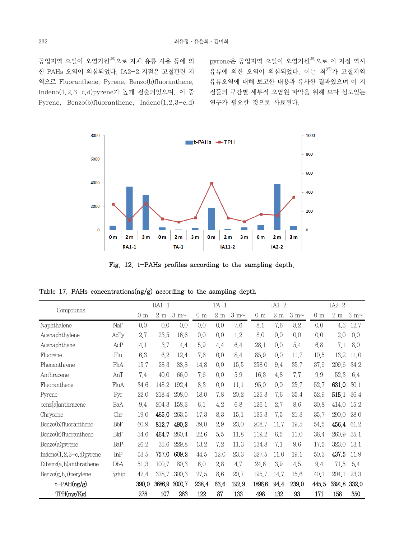공업지역 오일이 오염기원28)으로 자체 유류 사용 등에 의 한 PAHs 오염이 의심되었다. IA2-2 지점은 고철관련 지 역으로 Fluoranthene, Pyrene, Benzo(b)fluoranthene, Indeno(1,2,3-c,d)pyrene가 높게 검출되었으며, 이 중 Pyrene, Benzo(b)fluoranthene, Indeno(1,2,3-c,d)

pyrene은 공업지역 오일이 오염기원<sup>28)</sup>으로 이 지점 역시 유류에 의한 오염이 의심되었다. 이는 최37)가 고철지역 유류오염에 대해 보고한 내용과 유사한 결과였으며 이 지 점들의 구간별 세부적 오염원 파악을 위해 보다 심도있는 연구가 필요한 것으로 사료된다.



Fig. 12. t-PAHs profiles according to the sampling depth.

|  |  |  | Table 17. PAHs concentrations $\frac{mg}{g}$ according to the sampling depth |  |  |  |  |  |  |
|--|--|--|------------------------------------------------------------------------------|--|--|--|--|--|--|
|--|--|--|------------------------------------------------------------------------------|--|--|--|--|--|--|

| Compounds                   |                |              | $RA1-1$            |                |       | $TA-1$                        |       |              | $IA1-2$            |                | $IA2-2$      |                               |       |
|-----------------------------|----------------|--------------|--------------------|----------------|-------|-------------------------------|-------|--------------|--------------------|----------------|--------------|-------------------------------|-------|
|                             | 0 <sub>m</sub> | $2\ {\rm m}$ | $3 \text{ m} \sim$ | 0 <sub>m</sub> | 2m    | $3\ \mathrm{m}\mathord{\sim}$ | 0 m   | $2\ {\rm m}$ | $3 \text{ m} \sim$ | 0 <sub>m</sub> | $2\ {\rm m}$ | $3\ \mathrm{m}\mathord{\sim}$ |       |
| Naphthalene                 | NaP            | 0,0          | 0,0                | 0,0            | 0.0   | 0.0                           | 7.6   | 8.1          | 7.6                | 8.2            | 0,0          | 4.3                           | 12.7  |
| Acenaphthylene              | AcPy           | 2.7          | 23.5               | 16.6           | 0.0   | 0,0                           | 1.2   | 8.0          | 0.0                | 0.0            | 0,0          | 2.0                           | 0,0   |
| Acenaphthene                | AcP            | 4,1          | 3.7                | 4.4            | 5.9   | 4.4                           | 6.4   | 28.1         | 0.0                | 5.4            | 6.8          | 7,1                           | 8.0   |
| Fluorene                    | Flu            | 6.3          | 6.2                | 12.4           | 7.6   | 0.0                           | 8.4   | 85.9         | 0,0                | 11.7           | 10,5         | 13.2                          | 11.0  |
| Phenanthrene                | PhA            | 15.7         | 28.3               | 88.8           | 14.8  | 0.0                           | 15.5  | 258.0        | 9.4                | 35.7           | 37.9         | 209.6                         | 34.2  |
| Anthracene                  | AnT            | 7.4          | 40,0               | 66.0           | 7.6   | 0.0                           | 5.9   | 16.3         | 4.8                | 7.7            | 9.9          | 52.3                          | 6.4   |
| Fluoranthene                | FluA           | 34.6         | 148.2              | 192.4          | 8.3   | 0.0                           | 11,1  | 95.0         | 0.0                | 25.7           | 52.7         | 631.0                         | 30.1  |
| Pyrene                      | Pyr            | 22.0         | 218.4              | 208.0          | 18.0  | 7.8                           | 20.2  | 125.3        | 7.6                | 35.4           | 52.9         | 515.1                         | 36.4  |
| benz[a]anthracene           | BaA            | 9.4          | 204.3              | 158.3          | 6.1   | 4.2                           | 6.8   | 126.1        | 2.7                | 8.6            | 30.8         | 414.0                         | 15.2  |
| Chrysene                    | Chr            | 19.0         | 465.0              | 263.5          | 17.3  | 8.3                           | 15.1  | 135.3        | 7.5                | 21.3           | 35.7         | 290.0                         | 28.0  |
| Benzo(b)fluoranthene        | <b>BbF</b>     | 60.9         | 812.7              | 490.3          | 39.0  | 2.9                           | 23.0  | 208.7        | 11.7               | 19.5           | 54.5         | 456.4                         | 61.2  |
| Benzo(k)fluoranthene        | <b>BkF</b>     | 34.6         | 464.7              | 280.4          | 22.6  | 5.5                           | 11.8  | 119.2        | 6.5                | 11,0           | 36.4         | 260.9                         | 35.1  |
| Benzo(a)pyrene              | BaP            | 26.2         | 35.6               | 229.8          | 13.2  | 7.2                           | 11.3  | 134.8        | 7.1                | 9.6            | 17.5         | 323.0                         | 13.1  |
| Indeno $(1,2,3-c,d)$ pyrene | InP            | 53.5         | 757.0              | 609.2          | 44.5  | 12.0                          | 23.3  | 327.5        | 11.0               | 19.1           | 50,3         | 437.5                         | 11.9  |
| $Dibenz(a,h)$ anthrathene   | DbA            | 51.3         | 100.7              | 80.3           | 6.0   | 2.8                           | 4.7   | 24.6         | 3.9                | 4.5            | 9.4          | 71.5                          | 5.4   |
| Benzo(g, h, i) perylene     | Bghip          | 42.4         | 378.7              | 300.3          | 27.5  | 8.6                           | 20.7  | 195.7        | 14.7               | 15.6           | 40.1         | 204.1                         | 23.3  |
| $t$ -PAH(ng/g)              |                | 390.0        | 3686,9             | 3000.7         | 238.4 | 63.6                          | 192.9 | 1896.6       | 94.4               | 239.0          | 445.5        | 3891,8                        | 332.0 |
| TPH(mg/Kg)                  |                | 278          | 107                | 283            | 122   | 87                            | 133   | 498          | 132                | 93             | 171          | 158                           | 350   |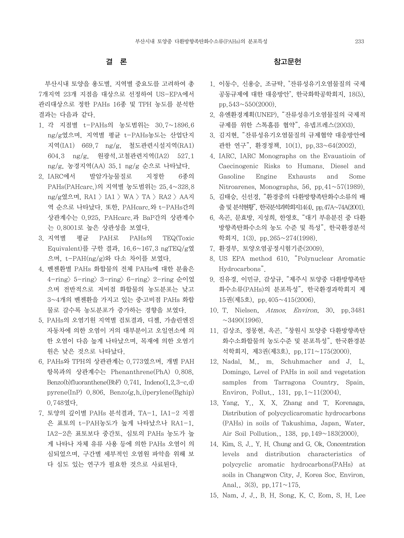# 결 론

 부산시내 토양을 용도별, 지역별 중요도를 고려하여 총 7개지역 23개 지점을 대상으로 선정하여 US-EPA에서 관리대상으로 정한 PAHs 16종 및 TPH 농도를 분석한 결과는 다음과 같다.

- 1. 각 지점별 t-PAHs의 농도범위는 30.7~1896.6 ng/g였으며, 지역별 평균 t-PAHs농도는 산업단지 지역(IA1) 669.7 ng/g, 철도관련시설지역(RA1) 604.3 ng/g, 원광석,고철관련지역(IA2) 527.1 ng/g, 농경지역(AA) 35.1 ng/g 순으로 나타났다.
- 2. IARC에서 발암가능물질로 지정한 6종의 PAHs(PAHcarc.)의 지역별 농도범위는 25.4~328.8 ng/g였으며, RA1 > IA1 > WA > TA > RA2 > AA지 역 순으로 나타났다. 또한, PAHcarc.와 t-PAHs간의 상관계수는 0.925, PAHcarc.과 BaP간의 상관계수 는 0.8001로 높은 상관성을 보였다.
- 3. 지역별 평균 PAH로 PAHs의 TEQ(Toxic Equivalent)를 구한 결과, 16.6~167.3 ngTEQ/g였 으며, t-PAH(ng/g)와 다소 차이를 보였다.
- 4. 벤젠환별 PAHs 화합물의 전체 PAHs에 대한 분율은 4-ring> 5-ring> 3-ring> 6-ring> 2-ring 순이었 으며 전반적으로 저비점 화합물의 농도분포는 낮고 3~4개의 벤젠환을 가지고 있는 중․고비점 PAHs 화합 물로 갈수록 농도분포가 증가하는 경향을 보였다.
- 5. PAHs의 오염기원 지역별 검토결과, 디젤, 가솔린엔진 자동차에 의한 오염이 거의 대부분이고 오일연소에 의 한 오염이 다음 높게 나타났으며, 목재에 의한 오염기 원은 낮은 것으로 나타났다.
- 6. PAHs와 TPH의 상관관계는 0.773였으며, 개별 PAH 항목과의 상관계수는 Phenanthrene(PhA) 0.808, Benzo(b)fluoranthene(BbF)  $0.741$ , Indeno $(1,2,3-c,d)$ pyrene(InP) 0.806, Benzo(g,h,i)perylene(Bghip) 0.748였다.
- 7. 토양의 깊이별 PAHs 분석결과, TA-1, IA1-2 지점 은 표토의 t-PAH농도가 높게 나타났으나 RA1-1, IA2-2은 표토보다 중간토, 심토의 PAHs 농도가 높 게 나타나 자체 유류 사용 등에 의한 PAHs 오염이 의 심되었으며, 구간별 세부적인 오염원 파악을 위해 보 다 심도 있는 연구가 필요한 것으로 사료된다.

### 참고문헌

- 1. 이동수, 신용승, 조규탁, "잔류성유기오염물질의 국제 공동규제에 대한 대응방안", 한국화학공학회지, 18(5), pp. $543 \sim 550(2000)$ .
- 2. 유엔환경계획(UNEP), "잔류성유기오염물질의 국제적 규제를 위한 스톡홀름 협약", 유넵프레스(2003).
- 3. 김지현, "잔류성유기오염물질의 규제협약 대응방안에 관한 연구", 환경정책, 10(1), pp.33~64(2002).
- 4. IARC, IARC Monographs on the Evauatioin of Caecinogenic Risks to Humans. Diesel and Gasoline Engine Exhausts and Some Nitroarenes, Monographs, 56, pp.41~57(1989).
- 5. 김태승, 신선경, "환경중의 다환방향족탄화수소류의 배 출 및 분석현황", 한국분석과학회지14(4), pp.47A~74A(2001).
- 6. 옥곤, 문효방, 지성희, 한영호, "대기 부유분진 중 다환 방향족탄화수소의 농도 수준 및 특성", 한국환경분석 학회지, 1(3), pp.265~274(1998).
- 7. 환경부, 토양오염공정시험기준(2009).
- 8. US EPA method 610, "Polynuclear Aromatic Hydrocarbons".
- 9. 진유경, 이민규, 감상규, "제주시 토양중 다환방향족탄 화수소류(PAHs)의 분포특성", 한국환경과학회지 제 15권(제5호), pp.405~415(2006).
- 10. T. Nielsen, Atmos. Environ, 30, pp.3481  $\sim$ 3490(1996).
- 11. 김상조, 정몽현, 옥곤, "창원시 토양중 다환방향족탄 화수소화합물의 농도수준 및 분포특성", 한국환경분 석학회지, 제3권(제3호), pp.171~175(2000).
- 12. Nadal, M., m. Schuhmacher and J. L. Domingo, Level of PAHs in soil and vegetation samples from Tarragona Country, Spain. Environ. Pollut., 131, pp. $1 \sim 11(2004)$ .
- 13. Yang, Y., X. X. Zhang and T. Korenaga, Distribution of polycyclicaromatic hydrocarbons (PAHs) in soils of Takushima, Japan, Water, Air Soil Pollution., 138, pp.149~183(2000).
- 14. Kim, S. J., Y. H. Chung and G. Ok, Concentration levels and distribution characteristics of polycyclic aromatic hydrocarbons(PAHs) at soils in Changwon City, J. Korea Soc. Environ. Anal.,  $3(3)$ , pp.  $171 \sim 175$ .
- 15. Nam, J. J., B. H. Song, K. C. Eom, S. H. Lee